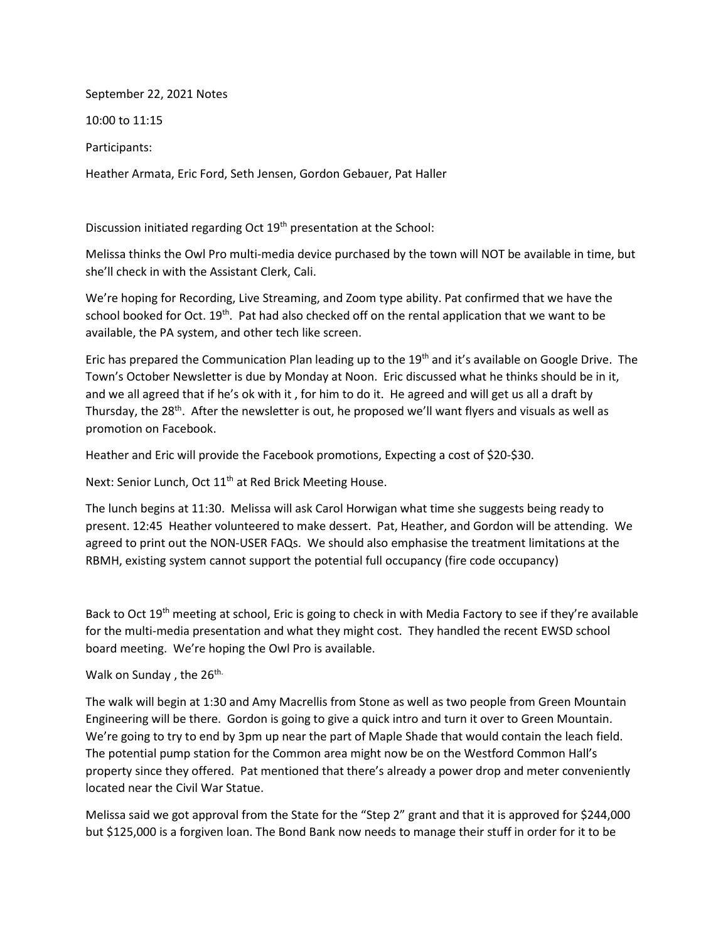September 22, 2021 Notes

10:00 to 11:15

Participants:

Heather Armata, Eric Ford, Seth Jensen, Gordon Gebauer, Pat Haller

Discussion initiated regarding Oct 19<sup>th</sup> presentation at the School:

Melissa thinks the Owl Pro multi-media device purchased by the town will NOT be available in time, but she'll check in with the Assistant Clerk, Cali.

We're hoping for Recording, Live Streaming, and Zoom type ability. Pat confirmed that we have the school booked for Oct.  $19<sup>th</sup>$ . Pat had also checked off on the rental application that we want to be available, the PA system, and other tech like screen.

Eric has prepared the Communication Plan leading up to the 19<sup>th</sup> and it's available on Google Drive. The Town's October Newsletter is due by Monday at Noon. Eric discussed what he thinks should be in it, and we all agreed that if he's ok with it , for him to do it. He agreed and will get us all a draft by Thursday, the  $28<sup>th</sup>$ . After the newsletter is out, he proposed we'll want flyers and visuals as well as promotion on Facebook.

Heather and Eric will provide the Facebook promotions, Expecting a cost of \$20-\$30.

Next: Senior Lunch, Oct 11<sup>th</sup> at Red Brick Meeting House.

The lunch begins at 11:30. Melissa will ask Carol Horwigan what time she suggests being ready to present. 12:45 Heather volunteered to make dessert. Pat, Heather, and Gordon will be attending. We agreed to print out the NON-USER FAQs. We should also emphasise the treatment limitations at the RBMH, existing system cannot support the potential full occupancy (fire code occupancy)

Back to Oct 19<sup>th</sup> meeting at school, Eric is going to check in with Media Factory to see if they're available for the multi-media presentation and what they might cost. They handled the recent EWSD school board meeting. We're hoping the Owl Pro is available.

Walk on Sunday, the 26<sup>th.</sup>

The walk will begin at 1:30 and Amy Macrellis from Stone as well as two people from Green Mountain Engineering will be there. Gordon is going to give a quick intro and turn it over to Green Mountain. We're going to try to end by 3pm up near the part of Maple Shade that would contain the leach field. The potential pump station for the Common area might now be on the Westford Common Hall's property since they offered. Pat mentioned that there's already a power drop and meter conveniently located near the Civil War Statue.

Melissa said we got approval from the State for the "Step 2" grant and that it is approved for \$244,000 but \$125,000 is a forgiven loan. The Bond Bank now needs to manage their stuff in order for it to be